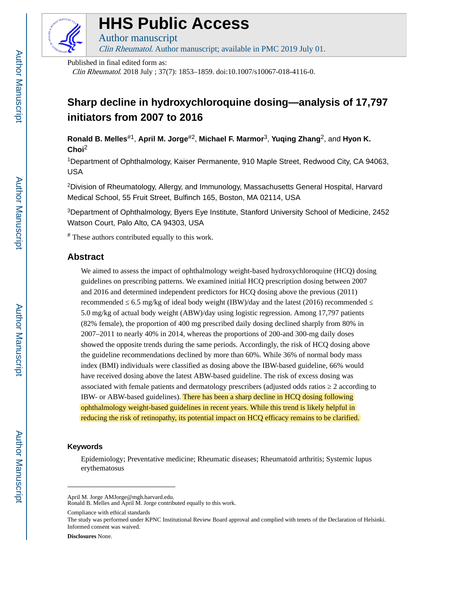

# **HHS Public Access**

Author manuscript Clin Rheumatol. Author manuscript; available in PMC 2019 July 01.

Published in final edited form as:

Clin Rheumatol. 2018 July ; 37(7): 1853–1859. doi:10.1007/s10067-018-4116-0.

# **Sharp decline in hydroxychloroquine dosing—analysis of 17,797 initiators from 2007 to 2016**

**Ronald B. Melles**#1, **April M. Jorge**#2, **Michael F. Marmor**3, **Yuqing Zhang**2, and **Hyon K. Choi**<sup>2</sup>

<sup>1</sup>Department of Ophthalmology, Kaiser Permanente, 910 Maple Street, Redwood City, CA 94063, USA

<sup>2</sup>Division of Rheumatology, Allergy, and Immunology, Massachusetts General Hospital, Harvard Medical School, 55 Fruit Street, Bulfinch 165, Boston, MA 02114, USA

<sup>3</sup>Department of Ophthalmology, Byers Eye Institute, Stanford University School of Medicine, 2452 Watson Court, Palo Alto, CA 94303, USA

# These authors contributed equally to this work.

# **Abstract**

We aimed to assess the impact of ophthalmology weight-based hydroxychloroquine (HCQ) dosing guidelines on prescribing patterns. We examined initial HCQ prescription dosing between 2007 and 2016 and determined independent predictors for HCQ dosing above the previous (2011) recommended  $6.5 \text{ mg/kg}$  of ideal body weight (IBW)/day and the latest (2016) recommended 5.0 mg/kg of actual body weight (ABW)/day using logistic regression. Among 17,797 patients (82% female), the proportion of 400 mg prescribed daily dosing declined sharply from 80% in 2007–2011 to nearly 40% in 2014, whereas the proportions of 200-and 300-mg daily doses showed the opposite trends during the same periods. Accordingly, the risk of HCQ dosing above the guideline recommendations declined by more than 60%. While 36% of normal body mass index (BMI) individuals were classified as dosing above the IBW-based guideline, 66% would have received dosing above the latest ABW-based guideline. The risk of excess dosing was associated with female patients and dermatology prescribers (adjusted odds ratios ≥ 2 according to IBW- or ABW-based guidelines). There has been a sharp decline in HCQ dosing following ophthalmology weight-based guidelines in recent years. While this trend is likely helpful in reducing the risk of retinopathy, its potential impact on HCQ efficacy remains to be clarified.

#### **Keywords**

Epidemiology; Preventative medicine; Rheumatic diseases; Rheumatoid arthritis; Systemic lupus erythematosus

**Disclosures** None.

April M. Jorge AMJorge@mgh.harvard.edu. Ronald B. Melles and April M. Jorge contributed equally to this work.

Compliance with ethical standards

The study was performed under KPNC Institutional Review Board approval and complied with tenets of the Declaration of Helsinki. Informed consent was waived.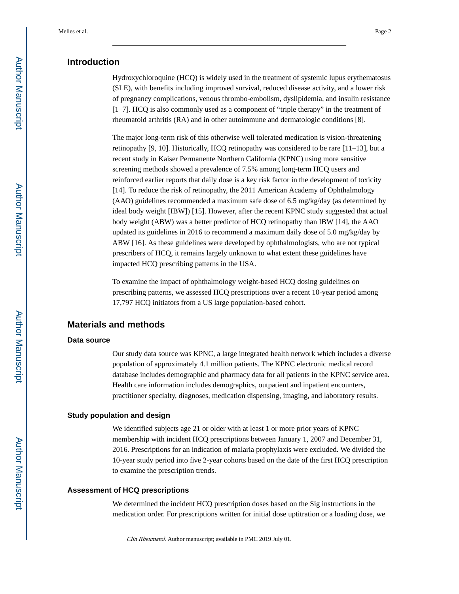# **Introduction**

Hydroxychloroquine (HCQ) is widely used in the treatment of systemic lupus erythematosus (SLE), with benefits including improved survival, reduced disease activity, and a lower risk of pregnancy complications, venous thrombo-embolism, dyslipidemia, and insulin resistance [1–7]. HCQ is also commonly used as a component of "triple therapy" in the treatment of rheumatoid arthritis (RA) and in other autoimmune and dermatologic conditions [8].

The major long-term risk of this otherwise well tolerated medication is vision-threatening retinopathy [9, 10]. Historically, HCQ retinopathy was considered to be rare [11–13], but a recent study in Kaiser Permanente Northern California (KPNC) using more sensitive screening methods showed a prevalence of 7.5% among long-term HCQ users and reinforced earlier reports that daily dose is a key risk factor in the development of toxicity [14]. To reduce the risk of retinopathy, the 2011 American Academy of Ophthalmology (AAO) guidelines recommended a maximum safe dose of 6.5 mg/kg/day (as determined by ideal body weight [IBW]) [15]. However, after the recent KPNC study suggested that actual body weight (ABW) was a better predictor of HCQ retinopathy than IBW [14], the AAO updated its guidelines in 2016 to recommend a maximum daily dose of 5.0 mg/kg/day by ABW [16]. As these guidelines were developed by ophthalmologists, who are not typical prescribers of HCQ, it remains largely unknown to what extent these guidelines have impacted HCQ prescribing patterns in the USA.

To examine the impact of ophthalmology weight-based HCQ dosing guidelines on prescribing patterns, we assessed HCQ prescriptions over a recent 10-year period among 17,797 HCQ initiators from a US large population-based cohort.

# **Materials and methods**

#### **Data source**

Our study data source was KPNC, a large integrated health network which includes a diverse population of approximately 4.1 million patients. The KPNC electronic medical record database includes demographic and pharmacy data for all patients in the KPNC service area. Health care information includes demographics, outpatient and inpatient encounters, practitioner specialty, diagnoses, medication dispensing, imaging, and laboratory results.

#### **Study population and design**

We identified subjects age 21 or older with at least 1 or more prior years of KPNC membership with incident HCQ prescriptions between January 1, 2007 and December 31, 2016. Prescriptions for an indication of malaria prophylaxis were excluded. We divided the 10-year study period into five 2-year cohorts based on the date of the first HCQ prescription to examine the prescription trends.

#### **Assessment of HCQ prescriptions**

We determined the incident HCQ prescription doses based on the Sig instructions in the medication order. For prescriptions written for initial dose uptitration or a loading dose, we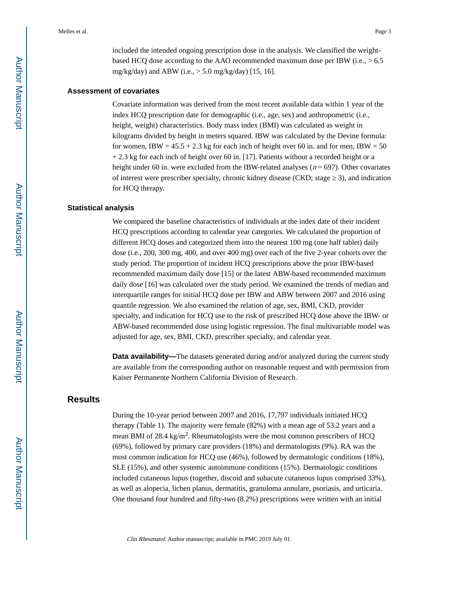included the intended ongoing prescription dose in the analysis. We classified the weightbased HCQ dose according to the AAO recommended maximum dose per IBW (i.e.,  $> 6.5$ ) mg/kg/day) and ABW (i.e.,  $> 5.0$  mg/kg/day) [15, 16].

#### **Assessment of covariates**

Covariate information was derived from the most recent available data within 1 year of the index HCQ prescription date for demographic (i.e., age, sex) and anthropometric (i.e., height, weight) characteristics. Body mass index (BMI) was calculated as weight in kilograms divided by height in meters squared. IBW was calculated by the Devine formula: for women, IBW =  $45.5 + 2.3$  kg for each inch of height over 60 in. and for men, IBW =  $50$ + 2.3 kg for each inch of height over 60 in. [17]. Patients without a recorded height or a height under 60 in. were excluded from the IBW-related analyses ( $n = 697$ ). Other covariates of interest were prescriber specialty, chronic kidney disease (CKD; stage  $\frac{3}{2}$ ), and indication for HCQ therapy.

#### **Statistical analysis**

We compared the baseline characteristics of individuals at the index date of their incident HCQ prescriptions according to calendar year categories. We calculated the proportion of different HCQ doses and categorized them into the nearest 100 mg (one half tablet) daily dose (i.e., 200, 300 mg, 400, and over 400 mg) over each of the five 2-year cohorts over the study period. The proportion of incident HCQ prescriptions above the prior IBW-based recommended maximum daily dose [15] or the latest ABW-based recommended maximum daily dose [16] was calculated over the study period. We examined the trends of median and interquartile ranges for initial HCQ dose per IBW and ABW between 2007 and 2016 using quantile regression. We also examined the relation of age, sex, BMI, CKD, provider specialty, and indication for HCQ use to the risk of prescribed HCQ dose above the IBW- or ABW-based recommended dose using logistic regression. The final multivariable model was adjusted for age, sex, BMI, CKD, prescriber specialty, and calendar year.

**Data availability—**The datasets generated during and/or analyzed during the current study are available from the corresponding author on reasonable request and with permission from Kaiser Permanente Northern California Division of Research.

# **Results**

During the 10-year period between 2007 and 2016, 17,797 individuals initiated HCQ therapy (Table 1). The majority were female (82%) with a mean age of 53.2 years and a mean BMI of 28.4 kg/m<sup>2</sup>. Rheumatologists were the most common prescribers of HCQ (69%), followed by primary care providers (18%) and dermatologists (9%). RA was the most common indication for HCQ use (46%), followed by dermatologic conditions (18%), SLE (15%), and other systemic autoimmune conditions (15%). Dermatologic conditions included cutaneous lupus (together, discoid and subacute cutaneous lupus comprised 33%), as well as alopecia, lichen planus, dermatitis, granuloma annulare, psoriasis, and urticaria. One thousand four hundred and fifty-two (8.2%) prescriptions were written with an initial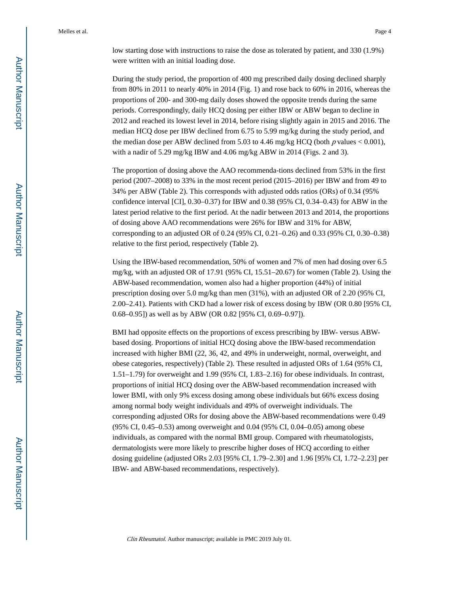low starting dose with instructions to raise the dose as tolerated by patient, and 330 (1.9%) were written with an initial loading dose.

During the study period, the proportion of 400 mg prescribed daily dosing declined sharply from 80% in 2011 to nearly 40% in 2014 (Fig. 1) and rose back to 60% in 2016, whereas the proportions of 200- and 300-mg daily doses showed the opposite trends during the same periods. Correspondingly, daily HCQ dosing per either IBW or ABW began to decline in 2012 and reached its lowest level in 2014, before rising slightly again in 2015 and 2016. The median HCQ dose per IBW declined from 6.75 to 5.99 mg/kg during the study period, and the median dose per ABW declined from 5.03 to 4.46 mg/kg HCQ (both  $p$  values < 0.001), with a nadir of 5.29 mg/kg IBW and 4.06 mg/kg ABW in 2014 (Figs. 2 and 3).

The proportion of dosing above the AAO recommenda-tions declined from 53% in the first period (2007–2008) to 33% in the most recent period (2015–2016) per IBW and from 49 to 34% per ABW (Table 2). This corresponds with adjusted odds ratios (ORs) of 0.34 (95% confidence interval [CI], 0.30–0.37) for IBW and 0.38 (95% CI, 0.34–0.43) for ABW in the latest period relative to the first period. At the nadir between 2013 and 2014, the proportions of dosing above AAO recommendations were 26% for IBW and 31% for ABW, corresponding to an adjusted OR of 0.24 (95% CI, 0.21–0.26) and 0.33 (95% CI, 0.30–0.38) relative to the first period, respectively (Table 2).

Using the IBW-based recommendation, 50% of women and 7% of men had dosing over 6.5 mg/kg, with an adjusted OR of 17.91 (95% CI, 15.51–20.67) for women (Table 2). Using the ABW-based recommendation, women also had a higher proportion (44%) of initial prescription dosing over 5.0 mg/kg than men (31%), with an adjusted OR of 2.20 (95% CI, 2.00–2.41). Patients with CKD had a lower risk of excess dosing by IBW (OR 0.80 [95% CI, 0.68–0.95]) as well as by ABW (OR 0.82 [95% CI, 0.69–0.97]).

BMI had opposite effects on the proportions of excess prescribing by IBW- versus ABWbased dosing. Proportions of initial HCQ dosing above the IBW-based recommendation increased with higher BMI (22, 36, 42, and 49% in underweight, normal, overweight, and obese categories, respectively) (Table 2). These resulted in adjusted ORs of 1.64 (95% CI, 1.51–1.79) for overweight and 1.99 (95% CI, 1.83–2.16) for obese individuals. In contrast, proportions of initial HCQ dosing over the ABW-based recommendation increased with lower BMI, with only 9% excess dosing among obese individuals but 66% excess dosing among normal body weight individuals and 49% of overweight individuals. The corresponding adjusted ORs for dosing above the ABW-based recommendations were 0.49 (95% CI, 0.45–0.53) among overweight and 0.04 (95% CI, 0.04–0.05) among obese individuals, as compared with the normal BMI group. Compared with rheumatologists, dermatologists were more likely to prescribe higher doses of HCQ according to either dosing guideline (adjusted ORs 2.03 [95% CI, 1.79–2.30] and 1.96 [95% CI, 1.72–2.23] per IBW- and ABW-based recommendations, respectively).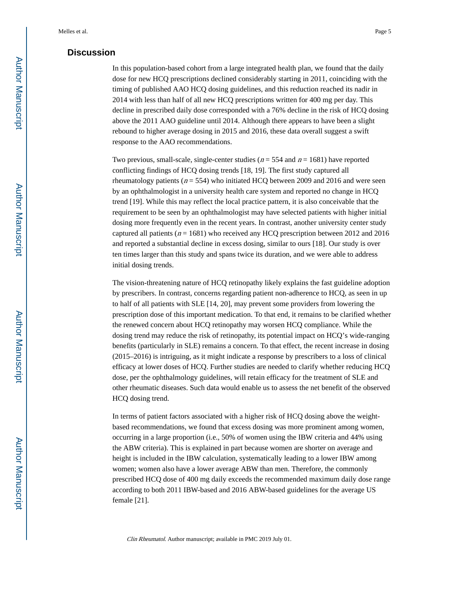# **Discussion**

In this population-based cohort from a large integrated health plan, we found that the daily dose for new HCQ prescriptions declined considerably starting in 2011, coinciding with the timing of published AAO HCQ dosing guidelines, and this reduction reached its nadir in 2014 with less than half of all new HCQ prescriptions written for 400 mg per day. This decline in prescribed daily dose corresponded with a 76% decline in the risk of HCQ dosing above the 2011 AAO guideline until 2014. Although there appears to have been a slight rebound to higher average dosing in 2015 and 2016, these data overall suggest a swift response to the AAO recommendations.

Two previous, small-scale, single-center studies ( $n = 554$  and  $n = 1681$ ) have reported conflicting findings of HCQ dosing trends [18, 19]. The first study captured all rheumatology patients ( $n = 554$ ) who initiated HCQ between 2009 and 2016 and were seen by an ophthalmologist in a university health care system and reported no change in HCQ trend [19]. While this may reflect the local practice pattern, it is also conceivable that the requirement to be seen by an ophthalmologist may have selected patients with higher initial dosing more frequently even in the recent years. In contrast, another university center study captured all patients ( $n = 1681$ ) who received any HCQ prescription between 2012 and 2016 and reported a substantial decline in excess dosing, similar to ours [18]. Our study is over ten times larger than this study and spans twice its duration, and we were able to address initial dosing trends.

The vision-threatening nature of HCQ retinopathy likely explains the fast guideline adoption by prescribers. In contrast, concerns regarding patient non-adherence to HCQ, as seen in up to half of all patients with SLE [14, 20], may prevent some providers from lowering the prescription dose of this important medication. To that end, it remains to be clarified whether the renewed concern about HCQ retinopathy may worsen HCQ compliance. While the dosing trend may reduce the risk of retinopathy, its potential impact on HCQ's wide-ranging benefits (particularly in SLE) remains a concern. To that effect, the recent increase in dosing (2015–2016) is intriguing, as it might indicate a response by prescribers to a loss of clinical efficacy at lower doses of HCQ. Further studies are needed to clarify whether reducing HCQ dose, per the ophthalmology guidelines, will retain efficacy for the treatment of SLE and other rheumatic diseases. Such data would enable us to assess the net benefit of the observed HCQ dosing trend.

In terms of patient factors associated with a higher risk of HCQ dosing above the weightbased recommendations, we found that excess dosing was more prominent among women, occurring in a large proportion (i.e., 50% of women using the IBW criteria and 44% using the ABW criteria). This is explained in part because women are shorter on average and height is included in the IBW calculation, systematically leading to a lower IBW among women; women also have a lower average ABW than men. Therefore, the commonly prescribed HCQ dose of 400 mg daily exceeds the recommended maximum daily dose range according to both 2011 IBW-based and 2016 ABW-based guidelines for the average US female [21].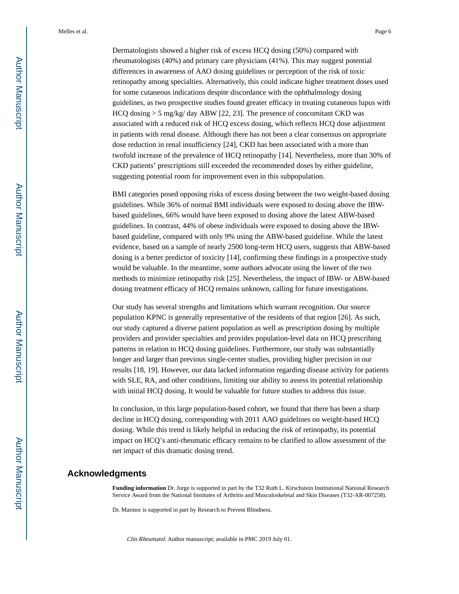Dermatologists showed a higher risk of excess HCQ dosing (50%) compared with rheumatologists (40%) and primary care physicians (41%). This may suggest potential differences in awareness of AAO dosing guidelines or perception of the risk of toxic retinopathy among specialties. Alternatively, this could indicate higher treatment doses used for some cutaneous indications despite discordance with the ophthalmology dosing guidelines, as two prospective studies found greater efficacy in treating cutaneous lupus with HCQ dosing > 5 mg/kg/ day ABW [22, 23]. The presence of concomitant CKD was associated with a reduced risk of HCQ excess dosing, which reflects HCQ dose adjustment in patients with renal disease. Although there has not been a clear consensus on appropriate dose reduction in renal insufficiency [24], CKD has been associated with a more than twofold increase of the prevalence of HCQ retinopathy [14]. Nevertheless, more than 30% of CKD patients' prescriptions still exceeded the recommended doses by either guideline, suggesting potential room for improvement even in this subpopulation.

BMI categories posed opposing risks of excess dosing between the two weight-based dosing guidelines. While 36% of normal BMI individuals were exposed to dosing above the IBWbased guidelines, 66% would have been exposed to dosing above the latest ABW-based guidelines. In contrast, 44% of obese individuals were exposed to dosing above the IBWbased guideline, compared with only 9% using the ABW-based guideline. While the latest evidence, based on a sample of nearly 2500 long-term HCQ users, suggests that ABW-based dosing is a better predictor of toxicity [14], confirming these findings in a prospective study would be valuable. In the meantime, some authors advocate using the lower of the two methods to minimize retinopathy risk [25]. Nevertheless, the impact of IBW- or ABW-based dosing treatment efficacy of HCQ remains unknown, calling for future investigations.

Our study has several strengths and limitations which warrant recognition. Our source population KPNC is generally representative of the residents of that region [26]. As such, our study captured a diverse patient population as well as prescription dosing by multiple providers and provider specialties and provides population-level data on HCQ prescribing patterns in relation to HCQ dosing guidelines. Furthermore, our study was substantially longer and larger than previous single-center studies, providing higher precision in our results [18, 19]. However, our data lacked information regarding disease activity for patients with SLE, RA, and other conditions, limiting our ability to assess its potential relationship with initial HCQ dosing. It would be valuable for future studies to address this issue.

In conclusion, in this large population-based cohort, we found that there has been a sharp decline in HCQ dosing, corresponding with 2011 AAO guidelines on weight-based HCQ dosing. While this trend is likely helpful in reducing the risk of retinopathy, its potential impact on HCQ's anti-rheumatic efficacy remains to be clarified to allow assessment of the net impact of this dramatic dosing trend.

#### **Acknowledgments**

**Funding information** Dr. Jorge is supported in part by the T32 Ruth L. Kirschstein Institutional National Research Service Award from the National Institutes of Arthritis and Musculoskeletal and Skin Diseases (T32-AR-007258).

Dr. Marmor is supported in part by Research to Prevent Blindness.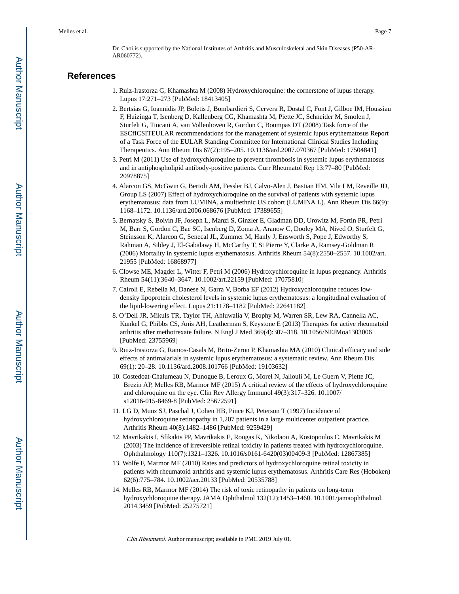# **References**

- 1. Ruiz-Irastorza G, Khamashta M (2008) Hydroxychloroquine: the cornerstone of lupus therapy. Lupus 17:271–273 [PubMed: 18413405]
- 2. Bertsias G, Ioannidis JP, Boletis J, Bombardieri S, Cervera R, Dostal C, Font J, Gilboe IM, Houssiau F, Huizinga T, Isenberg D, Kallenberg CG, Khamashta M, Piette JC, Schneider M, Smolen J, Sturfelt G, Tincani A, van Vollenhoven R, Gordon C, Boumpas DT (2008) Task force of the ESCfICSITEULAR recommendations for the management of systemic lupus erythematosus Report of a Task Force of the EULAR Standing Committee for International Clinical Studies Including Therapeutics. Ann Rheum Dis 67(2):195–205. 10.1136/ard.2007.070367 [PubMed: 17504841]
- 3. Petri M (2011) Use of hydroxychloroquine to prevent thrombosis in systemic lupus erythematosus and in antiphospholipid antibody-positive patients. Curr Rheumatol Rep 13:77–80 [PubMed: 20978875]
- 4. Alarcon GS, McGwin G, Bertoli AM, Fessler BJ, Calvo-Alen J, Bastian HM, Vila LM, Reveille JD, Group LS (2007) Effect of hydroxychloroquine on the survival of patients with systemic lupus erythematosus: data from LUMINA, a multiethnic US cohort (LUMINA L). Ann Rheum Dis 66(9): 1168–1172. 10.1136/ard.2006.068676 [PubMed: 17389655]
- 5. Bernatsky S, Boivin JF, Joseph L, Manzi S, Ginzler E, Gladman DD, Urowitz M, Fortin PR, Petri M, Barr S, Gordon C, Bae SC, Isenberg D, Zoma A, Aranow C, Dooley MA, Nived O, Sturfelt G, Steinsson K, Alarcon G, Senecal JL, Zummer M, Hanly J, Ensworth S, Pope J, Edworthy S, Rahman A, Sibley J, El-Gabalawy H, McCarthy T, St Pierre Y, Clarke A, Ramsey-Goldman R (2006) Mortality in systemic lupus erythematosus. Arthritis Rheum 54(8):2550–2557. 10.1002/art. 21955 [PubMed: 16868977]
- 6. Clowse ME, Magder L, Witter F, Petri M (2006) Hydroxychloroquine in lupus pregnancy. Arthritis Rheum 54(11):3640–3647. 10.1002/art.22159 [PubMed: 17075810]
- 7. Cairoli E, Rebella M, Danese N, Garra V, Borba EF (2012) Hydroxychloroquine reduces lowdensity lipoprotein cholesterol levels in systemic lupus erythematosus: a longitudinal evaluation of the lipid-lowering effect. Lupus 21:1178–1182 [PubMed: 22641182]
- 8. O'Dell JR, Mikuls TR, Taylor TH, Ahluwalia V, Brophy M, Warren SR, Lew RA, Cannella AC, Kunkel G, Phibbs CS, Anis AH, Leatherman S, Keystone E (2013) Therapies for active rheumatoid arthritis after methotrexate failure. N Engl J Med 369(4):307–318. 10.1056/NEJMoa1303006 [PubMed: 23755969]
- 9. Ruiz-Irastorza G, Ramos-Casals M, Brito-Zeron P, Khamashta MA (2010) Clinical efficacy and side effects of antimalarials in systemic lupus erythematosus: a systematic review. Ann Rheum Dis 69(1): 20–28. 10.1136/ard.2008.101766 [PubMed: 19103632]
- 10. Costedoat-Chalumeau N, Dunogue B, Leroux G, Morel N, Jallouli M, Le Guern V, Piette JC, Brezin AP, Melles RB, Marmor MF (2015) A critical review of the effects of hydroxychloroquine and chloroquine on the eye. Clin Rev Allergy Immunol 49(3):317–326. 10.1007/ s12016-015-8469-8 [PubMed: 25672591]
- 11. LG D, Munz SJ, Paschal J, Cohen HB, Pince KJ, Peterson T (1997) Incidence of hydroxychloroquine retinopathy in 1,207 patients in a large multicenter outpatient practice. Arthritis Rheum 40(8):1482–1486 [PubMed: 9259429]
- 12. Mavrikakis I, Sfikakis PP, Mavrikakis E, Rougas K, Nikolaou A, Kostopoulos C, Mavrikakis M (2003) The incidence of irreversible retinal toxicity in patients treated with hydroxychloroquine. Ophthalmology 110(7):1321–1326. 10.1016/s0161-6420(03)00409-3 [PubMed: 12867385]
- 13. Wolfe F, Marmor MF (2010) Rates and predictors of hydroxychloroquine retinal toxicity in patients with rheumatoid arthritis and systemic lupus erythematosus. Arthritis Care Res (Hoboken) 62(6):775–784. 10.1002/acr.20133 [PubMed: 20535788]
- 14. Melles RB, Marmor MF (2014) The risk of toxic retinopathy in patients on long-term hydroxychloroquine therapy. JAMA Ophthalmol 132(12):1453–1460. 10.1001/jamaophthalmol. 2014.3459 [PubMed: 25275721]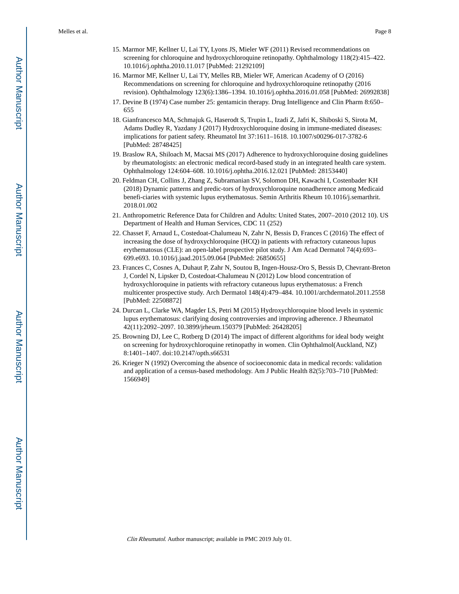- 15. Marmor MF, Kellner U, Lai TY, Lyons JS, Mieler WF (2011) Revised recommendations on screening for chloroquine and hydroxychloroquine retinopathy. Ophthalmology 118(2):415–422. 10.1016/j.ophtha.2010.11.017 [PubMed: 21292109]
- 16. Marmor MF, Kellner U, Lai TY, Melles RB, Mieler WF, American Academy of O (2016) Recommendations on screening for chloroquine and hydroxychloroquine retinopathy (2016 revision). Ophthalmology 123(6):1386–1394. 10.1016/j.ophtha.2016.01.058 [PubMed: 26992838]
- 17. Devine B (1974) Case number 25: gentamicin therapy. Drug Intelligence and Clin Pharm 8:650– 655
- 18. Gianfrancesco MA, Schmajuk G, Haserodt S, Trupin L, Izadi Z, Jafri K, Shiboski S, Sirota M, Adams Dudley R, Yazdany J (2017) Hydroxychloroquine dosing in immune-mediated diseases: implications for patient safety. Rheumatol Int 37:1611–1618. 10.1007/s00296-017-3782-6 [PubMed: 28748425]
- 19. Braslow RA, Shiloach M, Macsai MS (2017) Adherence to hydroxychloroquine dosing guidelines by rheumatologists: an electronic medical record-based study in an integrated health care system. Ophthalmology 124:604–608. 10.1016/j.ophtha.2016.12.021 [PubMed: 28153440]
- 20. Feldman CH, Collins J, Zhang Z, Subramanian SV, Solomon DH, Kawachi I, Costenbader KH (2018) Dynamic patterns and predic-tors of hydroxychloroquine nonadherence among Medicaid benefi-ciaries with systemic lupus erythematosus. Semin Arthritis Rheum 10.1016/j.semarthrit. 2018.01.002
- 21. Anthropometric Reference Data for Children and Adults: United States, 2007–2010 (2012 10). US Department of Health and Human Services, CDC 11 (252)
- 22. Chasset F, Arnaud L, Costedoat-Chalumeau N, Zahr N, Bessis D, Frances C (2016) The effect of increasing the dose of hydroxychloroquine (HCQ) in patients with refractory cutaneous lupus erythematosus (CLE): an open-label prospective pilot study. J Am Acad Dermatol 74(4):693– 699.e693. 10.1016/j.jaad.2015.09.064 [PubMed: 26850655]
- 23. Frances C, Cosnes A, Duhaut P, Zahr N, Soutou B, Ingen-Housz-Oro S, Bessis D, Chevrant-Breton J, Cordel N, Lipsker D, Costedoat-Chalumeau N (2012) Low blood concentration of hydroxychloroquine in patients with refractory cutaneous lupus erythematosus: a French multicenter prospective study. Arch Dermatol 148(4):479–484. 10.1001/archdermatol.2011.2558 [PubMed: 22508872]
- 24. Durcan L, Clarke WA, Magder LS, Petri M (2015) Hydroxychloroquine blood levels in systemic lupus erythematosus: clarifying dosing controversies and improving adherence. J Rheumatol 42(11):2092–2097. 10.3899/jrheum.150379 [PubMed: 26428205]
- 25. Browning DJ, Lee C, Rotberg D (2014) The impact of different algorithms for ideal body weight on screening for hydroxychloroquine retinopathy in women. Clin Ophthalmol(Auckland, NZ) 8:1401–1407. doi:10.2147/opth.s66531
- 26. Krieger N (1992) Overcoming the absence of socioeconomic data in medical records: validation and application of a census-based methodology. Am J Public Health 82(5):703–710 [PubMed: 1566949]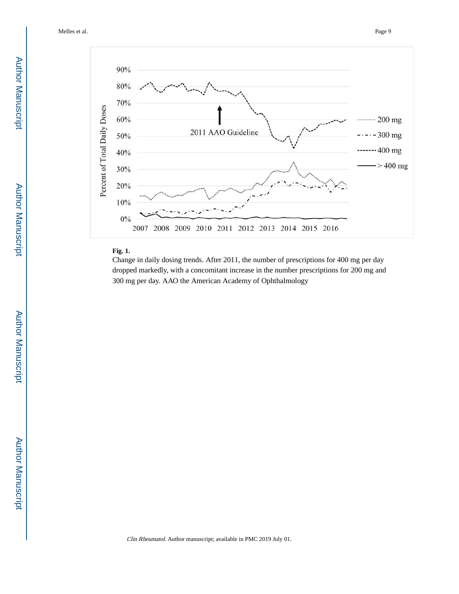

# **Fig. 1.**

Change in daily dosing trends. After 2011, the number of prescriptions for 400 mg per day dropped markedly, with a concomitant increase in the number prescriptions for 200 mg and 300 mg per day. AAO the American Academy of Ophthalmology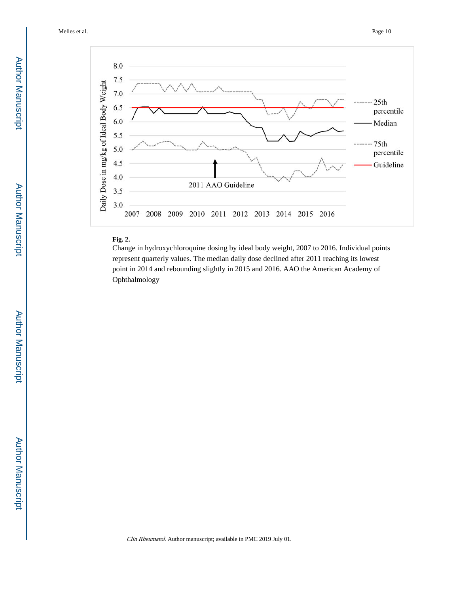

### **Fig. 2.**

Change in hydroxychloroquine dosing by ideal body weight, 2007 to 2016. Individual points represent quarterly values. The median daily dose declined after 2011 reaching its lowest point in 2014 and rebounding slightly in 2015 and 2016. AAO the American Academy of Ophthalmology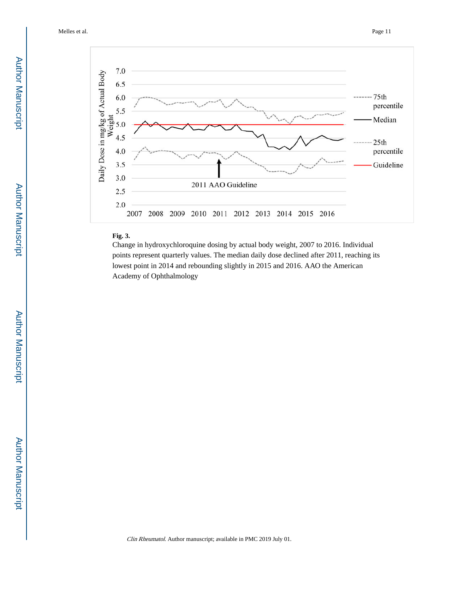

# **Fig. 3.**

Change in hydroxychloroquine dosing by actual body weight, 2007 to 2016. Individual points represent quarterly values. The median daily dose declined after 2011, reaching its lowest point in 2014 and rebounding slightly in 2015 and 2016. AAO the American Academy of Ophthalmology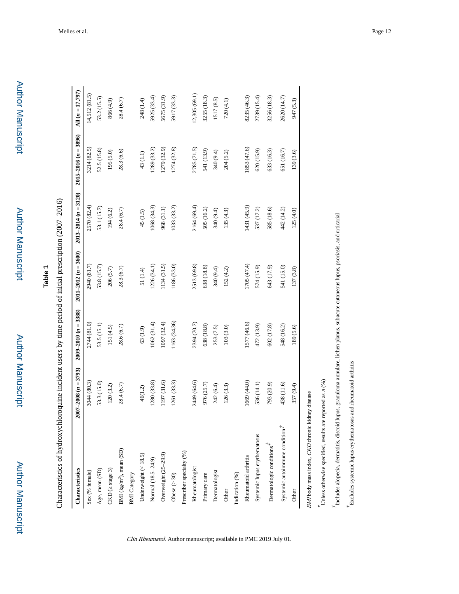| ١ |  |
|---|--|
| ω |  |
|   |  |
|   |  |

| J           |
|-------------|
| $\vdots$    |
| ا<br>ا<br>I |
|             |
|             |
|             |
| l           |
|             |
| l           |
|             |
|             |
|             |
|             |
|             |
| l           |
|             |
|             |
|             |
|             |
|             |
|             |
|             |
|             |
|             |
|             |
|             |
|             |
|             |
|             |
|             |
|             |
|             |
|             |
|             |
|             |
| ť           |

| Characteristics                                 | $2007 - 2008$ $(n = 3793)$ | $2009 - 2010(n = 3388)$ | $2011 - 2012(n = 3600)$ | $2013 - 2014 (n = 3120)$ | $2015 - 2016$ $(n = 3896)$ | All $(n = 17,797)$ |
|-------------------------------------------------|----------------------------|-------------------------|-------------------------|--------------------------|----------------------------|--------------------|
| Sex (% female)                                  | 3044 (80.3)                | 2744 (81.0)             | 2940 (81.7)             | 2570 (82.4)              | 3214 (82.5)                | 14,512 (81.5)      |
| Age, mean (SD)                                  | 53.3 (15.0)                | 53.5 (15.1)             | 53.8 (15.7)             | 53.1 (15.7)              | 52.5 (15.8)                | 53.2 (15.5)        |
| CKD (stage 3)                                   | 120(3.2)                   | 151(4.5)                | 206 (5.7)               | 194(6.2)                 | 195(5.0)                   | 866 (4.9)          |
| $\mathrm{BM}$ (kg/m <sup>2</sup> ), mean (SD)   | 28.4(6.7)                  | 28.6 (6.7)              | 28.3(6.7)               | 28.4(6.7)                | 28.3(6.6)                  | 28.4(6.7)          |
| <b>BMI</b> Category                             |                            |                         |                         |                          |                            |                    |
| Underweight $(< 18.5)$                          | 46(1.2)                    | 63(1.9)                 | 51 (1.4)                | 45(1.5)                  | 43 (1.1)                   | 248 (1.4)          |
| Normal (18.5-24.9)                              | 1280 (33.8)                | 1062(31.4)              | 1226 (34.1)             | 1068 (34.3)              | 1289 (33.2)                | 5925 (33.4)        |
| Overweight (25-29.9)                            | 1197 (31.6)                | 1097 (32.4)             | 1134 (31.5)             | 968 (31.1)               | 1279 (32.9)                | 5675 (31.9)        |
| Obese $(-30)$                                   | 1261 (33.3)                | 1163 (34.36)            | 1186 (33.0)             | 1033 (33.2)              | 1274 (32.8)                | 5917 (33.3)        |
| Prescriber specialty (%)                        |                            |                         |                         |                          |                            |                    |
| Rheumatologist                                  | 2449 (64.6)                | 2394 (70.7)             | 2513 (69.8)             | 2164 (69.4)              | 2785 (71.5)                | (2,305(69.1))      |
| Primary care                                    | 976 (25.7)                 | 638 (18.8)              | 638 (18.8)              | 505 (16.2)               | 541 (13.9)                 | 3255 (18.3)        |
| Dermatologist                                   | 242(6.4)                   | 253 (7.5)               | 340 (9.4)               | 340 (9.4)                | 340 (9.4)                  | 1517 (8.5)         |
| Other                                           | 126(3.3)                   | 103(3.0)                | 152(4.2)                | 135(4.3)                 | 204 (5.2)                  | 720(4.1)           |
| Indication (%)                                  |                            |                         |                         |                          |                            |                    |
| Rheumatoid arthritis                            | 1669 (44.0)                | 1577 (46.6)             | 1705(47.4)              | 1431 (45.9)              | 1853 (47.6)                | 8235 (46.3)        |
| Systemic lupus erythematosus                    | 536 (14.1)                 | 472 (13.9)              | 574 (15.9)              | 537 (17.2)               | 620 (15.9)                 | 2739 (15.4)        |
| Dematologic conditions <sup>#</sup>             | 793 (20.9)                 | 602 (17.8)              | 643 (17.9)              | 585 (18.6)               | 633 (16.3)                 | 3256 (18.3)        |
| Systemic autoimmune condition $\vec{r}$         | 438 (11.6)                 | 548 (16.2)              | 541 (15.0)              | 442 (14.2)               | 651 (16.7)                 | 2620 (14.7)        |
| Other                                           | 357 (9.4)                  | 189 (5.6)               | 137 (3.8)               | 125(4.0)                 | 139 (3.6)                  | 947 (5.3)          |
| BMI body mass index, CKD chronic kidney disease |                            |                         |                         |                          |                            |                    |

Clin Rheumatol. Author manuscript; available in PMC 2019 July 01.

\*

Unless otherwise specified, results are reported as

n (%)

 $t_{\rm Includes\ aloppecial,\ dermatitis,\ discoid\ luppus,\ granuloma annulare,\ lichen\ planus,\ subacute\ cuman\elunmeous\ luppus,\ posciasis,\ and\ urtic and\ unicational\$ 

 $t_{\text{Includes alopeia, deterministic, discoid lupus, granuloma annulae, lichen planus, subacute cutaneous lupus, posciasis, and uricarial.}$ 

 $^t\!E$  xcludes systemic lupus ery<br>thematosus and rheumatoid arthritis Excludes systemic lupus erythematosus and rheumatoid arthritis